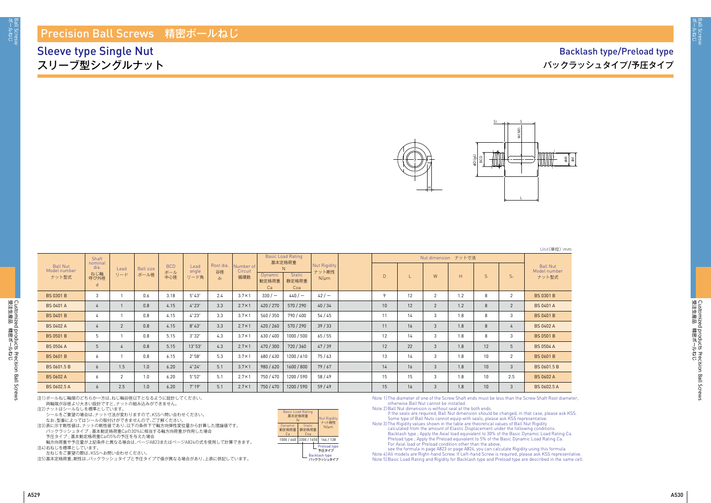

Customized products Precision Ball Screws

Customized products Precision Ball Screws<br>受注生産品 精密ボールねじ

Unit(単位):mm

| <b>Ball Nut</b><br>Model number<br>ナット型式 | Shaft                               |                |                          |                          | Lead<br>angle<br>リード角 |                                   |                             |                        | <b>Basic Load Rating</b><br>基本定格荷重            | Nut Rigidity<br>ナット剛性<br>$N/\mu m$ |        |    |                |     |                 |                |                                          |
|------------------------------------------|-------------------------------------|----------------|--------------------------|--------------------------|-----------------------|-----------------------------------|-----------------------------|------------------------|-----------------------------------------------|------------------------------------|--------|----|----------------|-----|-----------------|----------------|------------------------------------------|
|                                          | nominal<br>dia.<br>ねじ軸<br>呼び外径<br>d | Lead<br>リード    | <b>Ball size</b><br>ボール径 | <b>BCD</b><br>ボール<br>中心径 |                       | Root dia.<br>谷径<br>d <sub>0</sub> | Number of<br>Circuit<br>循環数 | Dynamic<br>動定格荷重<br>Ca | <sup>N</sup><br><b>Static</b><br>静定格荷重<br>Coa |                                    | $\Box$ |    | W              | H   | S.              | S <sub>1</sub> | <b>Ball Nut</b><br>Model number<br>ナット型式 |
| <b>BS 0301 B</b>                         | $\mathbf{3}$                        |                | 0.6                      | 3.18                     | $5^{\circ}43'$        | 2.4                               | $3.7 \times 1$              | $330/-$                | 440/                                          | $42/ -$                            | 9      | 12 | 2              | 1.2 | 8               | 2              | <b>BS 0301 B</b>                         |
| <b>BS 0401 A</b>                         | 4                                   |                | 0.8                      | 4.15                     | $4^{\circ}23'$        | 3.3                               | $2.7 \times 1$              | 420/270                | 570/290                                       | 40/34                              | 10     | 12 | $\overline{2}$ | 1.2 | 8               | 2              | <b>BS 0401 A</b>                         |
| <b>BS 0401 B</b>                         | 4                                   |                | 0.8                      | 4.15                     | $4^{\circ}23'$        | 3.3                               | $3.7 \times 1$              | 560/350                | 790 / 400                                     | 54 / 45                            | 11     | 14 | 3              | 1.8 | 8               | 3              | <b>BS 0401 B</b>                         |
| <b>BS 0402 A</b>                         | 4                                   | $\mathbf{2}$   | 0.8                      | 4.15                     | $8^\circ 43'$         | 3.3                               | $2.7 \times 1$              | 420/260                | 570/290                                       | 39/33                              | 11     | 16 | 3              | 1.8 | 8               | 4              | <b>BS 0402 A</b>                         |
| <b>BS 0501 B</b>                         | 5                                   |                | 0.8                      | 5.15                     | 3°32'                 | 4.3                               | $3.7 \times 1$              | 630/400                | 1000 / 500                                    | 65/55                              | 12     | 14 | 3              | 1.8 | 8               | 3              | <b>BS 0501 B</b>                         |
| <b>BS 0504 A</b>                         | 5 <sup>5</sup>                      |                | 0.8                      | 5.15                     | 13°53'                | 4.3                               | $2.7 \times 1$              | 470/300                | 720/360                                       | 47/39                              | 12     | 22 | 3              | 1.8 | 12              | -5             | <b>BS 0504 A</b>                         |
| <b>BS 0601 B</b>                         | 6                                   |                | 0.8                      | 6.15                     | $2^{\circ}58'$        | 5.3                               | $3.7 \times 1$              | 680 / 430              | 1200 / 610                                    | 75/63                              | 13     | 14 | 3              | 1.8 | 10 <sup>1</sup> | 2              | <b>BS 0601 B</b>                         |
| BS 0601.5 B                              | $\overline{6}$                      | 1.5            | 1.0                      | 6.20                     | $4^{\circ}24'$        | 5.1                               | $3.7 \times 1$              | 980/620                | 1600 / 800                                    | 79/67                              | 14     | 16 | 3              | 1.8 | 10              | 3              | BS 0601.5 B                              |
| <b>BS 0602 A</b>                         | 6                                   | $\overline{2}$ | 1.0                      | 6.20                     | $5^{\circ}52'$        | 5.1                               | $2.7 \times 1$              | 750 / 470              | 1200 / 590                                    | 58 / 49                            | 15     | 15 | 3              | 1.8 | 10 <sup>°</sup> | 2.5            | <b>BS 0602 A</b>                         |
| BS 0602.5 A                              | 6                                   | 2.5            | 1.0                      | 6.20                     | $7^\circ 19'$         | 5.1                               | $2.7 \times 1$              | 750/470                | 1200 / 590                                    | 59/49                              | 15     | 16 | 3              | 1.8 | $10-10$         | 3              | BS 0602.5 A                              |

注1)ボールねじ軸端のどちらか一方は、ねじ軸谷径以下となるように設計してください。

両軸端が谷径より大きい設計ですと、ナットの組み込みができません。

注2)ナットはシールなしを標準としています。

シールをご要望の場合は、ナット寸法が変わりますので、KSSへ問い合わせください。 なお、型番によってはシールの取付けができませんので、ご了解ください。

注3)表に示す剛性値は、ナットの剛性値であり、以下の条件下で軸方向弾性変位量から計算した理論値です。

バックラッシュタイプ ; 基本動定格荷重Caの30%に相当する軸方向荷重が作用した場合

予圧タイプ ; 基本動定格荷重Caの5%の予圧を与えた場合 軸方向荷重や予圧量が上記条件と異なる場合は、ぺージA823またはぺージA824の式を使用して計算できます。

注4)右ねじを標準としています。

左ねじをご要望の際は、KSSへお問い合わせください。

注5)基本定格荷重、剛性は、バックラッシュタイプと予圧タイプで値が異なる場合があり、上表に併記しています。

### Precision Ball Screws 精密ボールねじ

Sleeve type Single Nut スリーブ型シングルナット

# Backlash type/Preload type バックラッシュタイプ/予圧タイプ

Note 1) The diameter of one of the Screw Shaft ends must be less than the Screw Shaft Root diameter, otherwise Ball Nut cannot be installed.

Note 2) Ball Nut dimension is without seal at the both ends.

If the seals are required, Ball Nut dimension should be changed, in that case, please ask KSS. Some type of Ball Nuts cannot equip with seals, please ask KSS representative. Note 3) The Rigidity values shown in the table are theoretical values of Ball Nut Rigidity

calculated from the amount of Elastic Displacement under the following conditions Backlash type ; Apply the Axial load equivalent to 30% of the Basic Dynamic Load Rating Ca. Preload type ; Apply the Preload equivalent to 5% of the Basic Dynamic Load Rating Ca. For Axial load or Preload condition other than the above,

see the formula in page A823 or page A824, you can calculate Rigidity using this formula. Note 4) All models are Right-hand Screw. If Left-hand Screw is required, please ask KSS representative. Note 5) Basic Load Rating and Rigidity for Backlash type and Preload type are described in the same cell.

受注生産品 講験共一

Basic Load Rating 基本定格荷重 ートロッキー Nut Rigidity<br><u>トー・ス・・・・ </u>ナット剛性 Dynamic Static N/μm<br>動定格荷重 静定格荷重 N/μm Ca Coa 1000 / 640 3300 / 1650 164 / 138 Backlash type バックラッシュタイプ Preload type 予圧タイプ



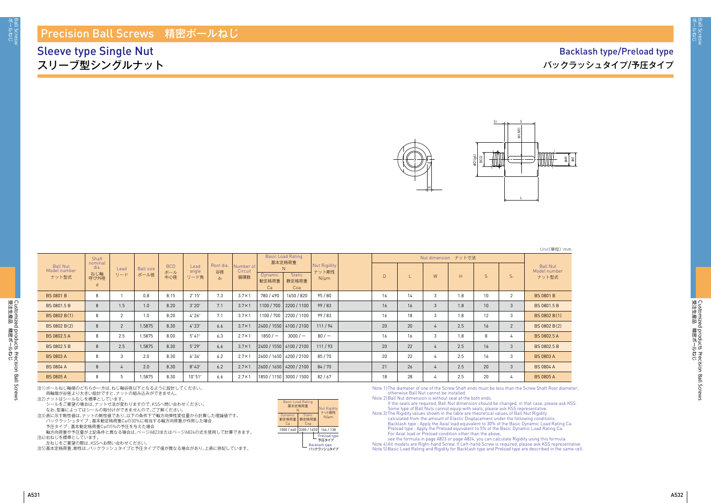

Customized products Precision Ball Screws

Customized products Precision Ball Screws<br>受注生産品 精密ボールねじ

注1)ボールねじ軸端のどちらか一方は、ねじ軸谷径以下となるように設計してください。

両軸端が谷径より大きい設計ですと、ナットの組み込みができません。

注2)ナットはシールなしを標準としています。

シールをご要望の場合は、ナット寸法が変わりますので、KSSへ問い合わせください。 なお、型番によってはシールの取付けができませんので、ご了解ください。

注3)表に示す剛性値は、ナットの剛性値であり、以下の条件下で軸方向弾性変位量から計算した理論値です。

バックラッシュタイプ ; 基本動定格荷重Caの30%に相当する軸方向荷重が作用した場合 予圧タイプ ; 基本動定格荷重Caの5%の予圧を与えた場合

Note 3) The Rigidity values shown in the table are theoretical values of Ball Nut Rigidity calculated from the amount of Elastic Displacement under the following conditions. Backlash type ; Apply the Axial load equivalent to 30% of the Basic Dynamic Load Rating Ca. Preload type ; Apply the Preload equivalent to 5% of the Basic Dynamic Load Rating Ca. For Axial load or Preload condition other than the above,

軸方向荷重や予圧量が上記条件と異なる場合は、ぺージA823またはぺージA824の式を使用して計算できます。 注4)右ねじを標準としています。

.<br>左ねじをご要望の際は、KSSへお問い合わせください。

注5)基本定格荷重、剛性は、バックラッシュタイプと予圧タイプで値が異なる場合があり、上表に併記しています。

Note 1) The diameter of one of the Screw Shaft ends must be less than the Screw Shaft Root diameter, otherwise Ball Nut cannot be installed.

Note 2) Ball Nut dimension is without seal at the both ends.

If the seals are required, Ball Nut dimension should be changed, in that case, please ask KSS. Some type of Ball Nuts cannot equip with seals, please ask KSS representative.

see the formula in page A823 or page A824, you can calculate Rigidity using this formula. Note 4) All models are Right-hand Screw. If Left-hand Screw is required, please ask KSS representative. Note 5) Basic Load Rating and Rigidity for Backlash type and Preload type are described in the same cell.

受注生産品 講験共一

Unit(単位):mm

| <b>Ball Nut</b><br>Model number<br>ナット型式 |
|------------------------------------------|
| <b>BS 0801 B</b>                         |
| <b>BS 0801.5 B</b>                       |
| BS 0802 B(1)                             |
| BS 0802 B(2)                             |
| <b>BS 0802.5 A</b>                       |
| BS 0802.5 B                              |
| BS 0803 A                                |
| <b>BS 0804 A</b>                         |
| BS 0805 A                                |
|                                          |

|                          | Shaft           |                |                  |                   |                 |                 |                      |                         | <b>Basic Load Rating</b><br>基本定格荷重 |                       | Nut dimension ナット寸法 |    |                |     |                 |                |                                 |
|--------------------------|-----------------|----------------|------------------|-------------------|-----------------|-----------------|----------------------|-------------------------|------------------------------------|-----------------------|---------------------|----|----------------|-----|-----------------|----------------|---------------------------------|
| Ball Nut<br>Model number | nominal<br>dia. | Lead           | <b>Ball size</b> | <b>BCD</b><br>ボール | Lead<br>angle   | Root dia.<br>谷径 | Number of<br>Circuit |                         |                                    | Nut Rigidity<br>ナット剛性 |                     |    |                |     |                 |                | <b>Ball Nut</b><br>Model number |
| ナット型式                    | ねじ軸<br>呼び外径     | リード            | ボール径             | 中心径               | リード角            | $d_0$           | 循環数                  | <b>Dynamic</b><br>動定格荷重 | <b>Static</b><br>静定格荷重             | $N/\mu m$             | $\mathsf{D}$        | W  | H              | S.  | S <sub>1</sub>  | ナット型式          |                                 |
|                          | d               |                |                  |                   |                 |                 |                      | Ca                      | Coa                                |                       |                     |    |                |     |                 |                |                                 |
| <b>BS 0801 B</b>         | 8               |                | 0.8              | 8.15              | $2^{\circ} 15'$ | 7.3             | $3.7 \times 1$       | 780/490                 | 1650 / 820                         | 95 / 80               | 16                  | 14 | 3              | 1.8 | 10              | $\overline{2}$ | <b>BS 0801 B</b>                |
| BS 0801.5 B              | 8               | 1.5            | 1.0              | 8.20              | 3°20'           | 7.1             | $3.7 \times 1$       |                         | 1100 / 700   2200 / 1100           | 99/83                 | 16                  | 16 | 3              | 1.8 | 10              | 3              | <b>BS 0801.5 B</b>              |
| BS 0802 B(1)             | 8               | 2              | 1.0              | 8.20              | $4^{\circ}26'$  | 7.1             | $3.7 \times 1$       |                         | 1100 / 700   2200 / 1100           | 99/83                 | 16                  | 18 | 3              | 1.8 | 12 <sup>°</sup> | 3              | BS 0802 B(1)                    |
| BS 0802 B(2)             | 8               | $\overline{2}$ | 1.5875           | 8.30              | $4^{\circ}23'$  | 6.6             | $3.7 \times 1$       |                         | 2400 / 1550 4100 / 2100            | 111/94                | 20                  | 20 | 4              | 2.5 | 16              | $\overline{2}$ | BS 0802 B(2)                    |
| BS 0802.5 A              | 8               | 2.5            | 1.5875           | 8.00              | $5^{\circ}41'$  | 6.3             | $2.7 \times 1$       | $1850 / -$              | $3000 / -$                         | 80/                   | 16                  | 16 | 3              | 1.8 | 8               | 4              | <b>BS 0802.5 A</b>              |
| BS 0802.5 B              | 8               | 2.5            | 1.5875           | 8.30              | $5^{\circ}29'$  | 6.6             | $3.7 \times 1$       |                         | 2400 / 1550 4100 / 2100            | 111/93                | 20                  | 22 | $\overline{4}$ | 2.5 | 16              | 3              | BS 0802.5 B                     |
| <b>BS 0803 A</b>         | 8               | 3              | 2.0              | 8.30              | 6°34'           | 6.2             | $2.7 \times 1$       |                         | 2600 / 1650   4200 / 2100          | 85/70                 | 20                  | 22 | $\overline{4}$ | 2.5 | 16              | 3              | <b>BS 0803 A</b>                |
| <b>BS 0804 A</b>         | 8               |                | 2.0              | 8.30              | $8^\circ 43'$   | 6.2             | $2.7 \times 1$       |                         | 2600 / 1650   4200 / 2100          | 84/70                 | 21                  | 26 | 4              | 2.5 | 20              | 3              | <b>BS 0804 A</b>                |
| <b>BS 0805 A</b>         | 8               | 5              | 1.5875           | 8.30              | $10^{\circ}51'$ | 6.6             | $2.7 \times 1$       |                         | 1850 / 1150 3000 / 1500            | 82/67                 | 18                  | 28 |                | 2.5 | 20              | 4              | <b>BS 0805 A</b>                |

### Precision Ball Screws 精密ボールねじ

Sleeve type Single Nut スリーブ型シングルナット

# Backlash type/Preload type バックラッシュタイプ/予圧タイプ

| <b>Basic Load Rating</b><br>基本定格荷重<br>N | <b>Nut Rigidity</b><br>ナット剛性  |  |                                    |
|-----------------------------------------|-------------------------------|--|------------------------------------|
| <b>Dynamic</b><br>動定格荷重<br>Cа           | <b>Static</b><br>静定格荷重<br>Coa |  | $N/\mu$ m                          |
| 1000 / 640                              | 3300 / 1650                   |  | 164 / 138                          |
|                                         |                               |  | Preload type<br>予圧タイプ              |
|                                         |                               |  | <b>Backlash type</b><br>バックラッシュタイプ |



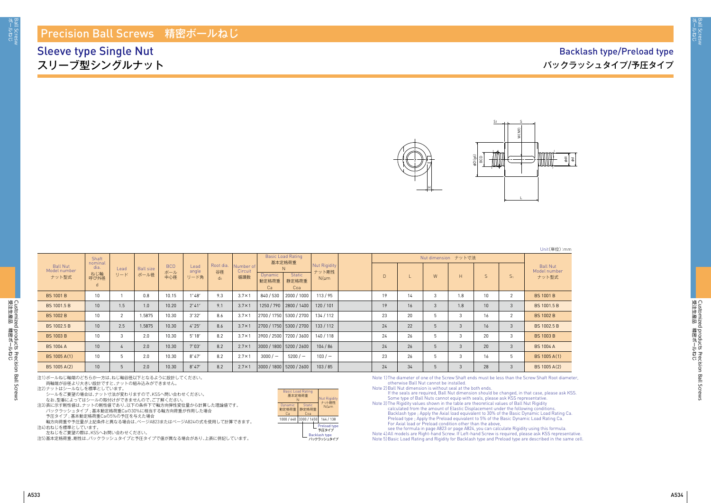

注1)ボールねじ軸端のどちらか一方は、ねじ軸谷径以下となるように設計してください。

両軸端が谷径より大きい設計ですと、ナットの組み込みができません。

注2)ナットはシールなしを標準としています。

シールをご要望の場合は、ナット寸法が変わりますので、KSSへ問い合わせください。

なお、型番によってはシールの取付けができませんので、ご了解ください。

注3)表に示す剛性値は、ナットの剛性値であり、以下の条件下で軸方向弾性変位量から計算した理論値です。 バックラッシュタイプ ; 基本動定格荷重Caの30%に相当する軸方向荷重が作用した場合 予圧タイプ ; 基本動定格荷重Caの5%の予圧を与えた場合

軸方向荷重や予圧量が上記条件と異なる場合は、ぺージA823またはぺージA824の式を使用して計算できます。 注4)右ねじを標準としています。

、<br>左ねじをご要望の際は、KSSへお問い合わせください。

注5)基本定格荷重、剛性は、バックラッシュタイプと予圧タイプで値が異なる場合があり、上表に併記しています。

Note 1) The diameter of one of the Screw Shaft ends must be less than the Screw Shaft Root diameter, otherwise Ball Nut cannot be installed.

Note 2) Ball Nut dimension is without seal at the both ends.

If the seals are required, Ball Nut dimension should be changed, in that case, please ask KSS. Some type of Ball Nuts cannot equip with seals, please ask KSS representative.

Note 3) The Rigidity values shown in the table are theoretical values of Ball Nut Rigidity calculated from the amount of Elastic Displacement under the following conditions. Backlash type ; Apply the Axial load equivalent to 30% of the Basic Dynamic Load Rating Ca. Preload type ; Apply the Preload equivalent to 5% of the Basic Dynamic Load Rating Ca. For Axial load or Preload condition other than the above,

see the formula in page A823 or page A824, you can calculate Rigidity using this formula. Note 4) All models are Right-hand Screw. If Left-hand Screw is required, please ask KSS representative. Note 5) Basic Load Rating and Rigidity for Backlash type and Preload type are described in the same cell.

Unit(単位):mm

| Ball Nut<br>Model number<br>ナット型式 |
|-----------------------------------|
| <b>BS 1001 B</b>                  |
| BS 1001.5 B                       |
| <b>BS 1002 B</b>                  |
| BS 1002.5 B                       |
| <b>BS 1003 B</b>                  |
| <b>BS 1004 A</b>                  |
| BS 1005 A(1)                      |
| BS 1005 A(2)                      |
|                                   |

|                                          | <b>Shaft</b><br>nominal  |             |                          |                          |                       |                          |                             | <b>Basic Load Rating</b><br>基本定格荷重 |                               |                                    | Nut dimension ナット寸法 |    |   |     |                 |                |                                          |
|------------------------------------------|--------------------------|-------------|--------------------------|--------------------------|-----------------------|--------------------------|-----------------------------|------------------------------------|-------------------------------|------------------------------------|---------------------|----|---|-----|-----------------|----------------|------------------------------------------|
| <b>Ball Nut</b><br>Model number<br>ナット型式 | dia.<br>ねじ軸<br>呼び外径<br>d | Lead<br>リード | <b>Ball size</b><br>ボール径 | <b>BCD</b><br>ボール<br>中心径 | Lead<br>angle<br>リード角 | Root dia.<br>谷径<br>$d_0$ | Number of<br>Circuit<br>循環数 | Dynamic<br>動定格荷重<br>Ca             | <b>Static</b><br>静定格荷重<br>Coa | Nut Rigidity<br>ナット剛性<br>$N/\mu m$ | D                   |    | W | H   | S.              | S <sub>1</sub> | <b>Ball Nut</b><br>Model number<br>ナット型式 |
| <b>BS 1001 B</b>                         | 10                       |             | 0.8                      | 10.15                    | $1^{\circ}48'$        | 9.3                      | $3.7 \times 1$              | 840/530                            | 2000 / 1000                   | 113/95                             | 19                  | 14 |   | 1.8 | 10 <sup>°</sup> | $\overline{2}$ | <b>BS 1001 B</b>                         |
| BS 1001.5 B                              | 10                       | 1.5         | 1.0                      | 10.20                    | $2^{\circ}41'$        | 9.1                      | $3.7 \times 1$              |                                    | 1250 / 790   2800 / 1400      | 120/101                            | 19                  | 16 | 3 | 1.8 | 10 <sup>1</sup> | 3              | BS 1001.5 B                              |
| <b>BS 1002 B</b>                         | 10                       | $\sim$      | 1.5875                   | 10.30                    | 3°32'                 | 8.6                      | $3.7 \times 1$              |                                    | 2700 / 1750   5300 / 2700     | 134 / 112                          | 23                  | 20 |   | 3   | 16              | $\overline{2}$ | <b>BS 1002 B</b>                         |
| <b>BS 1002.5 B</b>                       | 10                       | 2.5         | 1.5875                   | 10.30                    | $4^{\circ}25'$        | 8.6                      | $3.7 \times 1$              |                                    | 2700/1750 5300/2700           | 133/112                            | 24                  | 22 | 5 | 3   | 16              | 3              | BS 1002.5 B                              |
| <b>BS 1003 B</b>                         | 10                       | 3           | 2.0                      | 10.30                    | $5^{\circ}18'$        | 8.2                      | $3.7 \times 1$              |                                    | 3900 / 2500 7200 / 3600       | 140/118                            | 24                  | 26 |   | 3   | 20              | 3              | <b>BS 1003 B</b>                         |
| <b>BS 1004 A</b>                         | 10                       |             | 2.0                      | 10.30                    | $7^{\circ}03'$        | 8.2                      | $2.7 \times 1$              |                                    | 3000/1800 5200/2600           | 104/86                             | 24                  | 26 | 5 | 3   | 20              | 3              | <b>BS 1004 A</b>                         |
| BS 1005 A(1)                             | 10                       |             | 2.0                      | 10.30                    | $8^{\circ}47'$        | 8.2                      | $2.7 \times 1$              | $3000/-$                           | $5200 / -$                    | $103/ -$                           | 23                  | 26 |   | 3   | 16              | 5              | BS 1005 A(1)                             |
| BS 1005 A(2)                             | 10                       | 5           | 2.0                      | 10.30                    | $8^{\circ}47'$        | 8.2                      | $2.7 \times 1$              |                                    | 3000 / 1800   5200 / 2600     | 103/85                             | 24                  | 34 | 5 | 3   | 28              | 3              | BS 1005 A(2)                             |

### Precision Ball Screws 精密ボールねじ

Sleeve type Single Nut スリーブ型シングルナット

# Backlash type/Preload type バックラッシュタイプ/予圧タイプ

| <b>Basic Load Rating</b><br>基本定格荷重<br>N | <b>Nut Rigidity</b><br>ナット剛性  |                             |
|-----------------------------------------|-------------------------------|-----------------------------|
| Dynamic<br>動定格荷重<br>Ca                  | <b>Static</b><br>静定格荷重<br>Coa | $N/\mu$ m                   |
| 1000 / 640                              | 3300 / 1650                   | 164 / 138                   |
|                                         |                               | Preload type<br>予圧タイプ       |
|                                         |                               | Backlash type<br>バックラッシュタイプ |



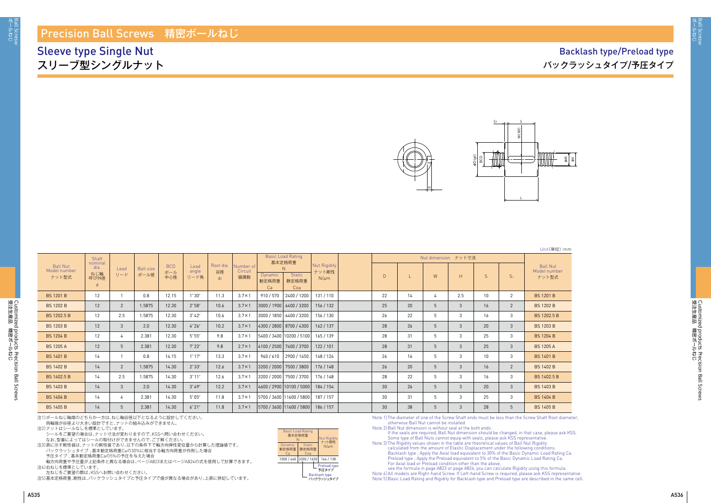

注1)ボールねじ軸端のどちらか一方は、ねじ軸谷径以下となるように設計してください。

両軸端が谷径より大きい設計ですと、ナットの組み込みができません。

注2)ナットはシールなしを標準としています。

シールをご要望の場合は、ナット寸法が変わりますので、KSSへ問い合わせください。

なお、型番によってはシールの取付けができませんので、ご了解ください。

注3)表に示す剛性値は、ナットの剛性値であり、以下の条件下で軸方向弾性変位量から計算した理論値です。

バックラッシュタイプ ; 基本動定格荷重Caの30%に相当する軸方向荷重が作用した場合

予圧タイプ ; 基本動定格荷重Caの5%の予圧を与えた場合

軸方向荷重や予圧量が上記条件と異なる場合は、ぺージA823またはぺージA824の式を使用して計算できます。 注4)右ねじを標準としています。

左ねじをご要望の際は、KSSへお問い合わせください。

注5)基本定格荷重、剛性は、バックラッシュタイプと予圧タイプで値が異なる場合があり、上表に併記しています。

Note 1) The diameter of one of the Screw Shaft ends must be less than the Screw Shaft Root diameter, otherwise Ball Nut cannot be installed.

Note 2) Ball Nut dimension is without seal at the both ends.

If the seals are required, Ball Nut dimension should be changed, in that case, please ask KSS. Some type of Ball Nuts cannot equip with seals, please ask KSS representative. Note 3) The Rigidity values shown in the table are theoretical values of Ball Nut Rigidity calculated from the amount of Elastic Displacement under the following conditions. Backlash type ; Apply the Axial load equivalent to 30% of the Basic Dynamic Load Rating Ca. Preload type ; Apply the Preload equivalent to 5% of the Basic Dynamic Load Rating Ca. For Axial load or Preload condition other than the above,

see the formula in page A823 or page A824, you can calculate Rigidity using this formula. Note 4) All models are Right-hand Screw. If Left-hand Screw is required, please ask KSS representative. Note 5) Basic Load Rating and Rigidity for Backlash type and Preload type are described in the same cell.

Unit(単位):mm

|                                          | <b>Shaft</b><br>nominal  |                |                          |                          |                       |                                   |                             |                        | <b>Basic Load Rating</b><br>基本定格荷重     |                                           |              |    |   |     |                 |                |                                          |
|------------------------------------------|--------------------------|----------------|--------------------------|--------------------------|-----------------------|-----------------------------------|-----------------------------|------------------------|----------------------------------------|-------------------------------------------|--------------|----|---|-----|-----------------|----------------|------------------------------------------|
| <b>Ball Nut</b><br>Model number<br>ナット型式 | dia.<br>ねじ軸<br>呼び外径<br>d | Lead<br>リード    | <b>Ball size</b><br>ボール径 | <b>BCD</b><br>ボール<br>中心径 | Lead<br>angle<br>リード角 | Root dia.<br>谷径<br>d <sub>0</sub> | Number of<br>Circuit<br>循環数 | Dynamic<br>動定格荷重<br>Ca | <b>Static</b><br>静定格荷重<br>Coa          | <b>Nut Rigidity</b><br>ナット剛性<br>$N/\mu m$ | $\mathsf{D}$ |    | W | H   | $\mathsf{S}$    | S <sub>1</sub> | <b>Ball Nut</b><br>Model number<br>ナット型式 |
| <b>BS 1201 B</b>                         | 12                       |                | 0.8                      | 12.15                    | $1^\circ 30'$         | 11.3                              | $3.7 \times 1$              | 910/570                | 2400 / 1200                            | 131/110                                   | 22           | 14 |   | 2.5 | 10 <sup>°</sup> | 2              | <b>BS 1201 B</b>                         |
| <b>BS 1202 B</b>                         | 12                       | $2^{\circ}$    | 1.5875                   | 12.30                    | $2^{\circ}58'$        | 10.6                              | $3.7 \times 1$              |                        | 3000/1900 6400/3200                    | 156 / 132                                 | 25           | 20 | 5 | 3   | 16              | $\overline{2}$ | <b>BS 1202 B</b>                         |
| BS 1202.5 B                              | 12                       | 2.5            | 1.5875                   | 12.30                    | $3^{\circ}42'$        | 10.6                              | $3.7 \times 1$              |                        | 3000 / 1850   6400 / 3200              | 156 / 130                                 | 26           | 22 | 5 | 3   | 16              | 3              | BS 1202.5 B                              |
| <b>BS 1203 B</b>                         | 12                       | 3 <sup>1</sup> | 2.0                      | 12.30                    | $4^{\circ}26'$        | 10.2                              | $3.7 \times 1$              |                        | 4300 / 2800   8700 / 4300              | 162/137                                   | 28           | 26 | 5 | 3   | 20              | $\mathbf{3}$   | <b>BS 1203 B</b>                         |
| <b>BS 1204 B</b>                         | 12                       | 4              | 2.381                    | 12.30                    | $5^{\circ}55'$        | 9.8                               | $3.7 \times 1$              |                        | 5400 / 3400 10200 / 5100 165 / 139     |                                           | 28           | 31 | 5 | 3   | 25              | $\mathbf{3}$   | <b>BS 1204 B</b>                         |
| <b>BS 1205 A</b>                         | 12                       | 5              | 2.381                    | 12.30                    | $7^{\circ}22'$        | 9.8                               | $2.7 \times 1$              |                        | 4100 / 2500   7400 / 3700              | 122/101                                   | 28           | 31 | 5 | 3   | 25              | $\mathbf{3}$   | <b>BS 1205 A</b>                         |
| <b>BS 1401 B</b>                         | 14                       | $\mathbf{1}$   | 0.8                      | 14.15                    | $1^{\circ}17'$        | 13.3                              | $3.7 \times 1$              |                        | 960/610 2900/1450                      | 148 / 124                                 | 26           | 16 | 5 | 3   | 10 <sup>1</sup> | 3              | <b>BS 1401 B</b>                         |
| <b>BS 1402 B</b>                         | 14                       | $\overline{2}$ | 1.5875                   | 14.30                    | $2^{\circ}33'$        | 12.6                              | $3.7 \times 1$              |                        | 3200/2000 7500/3800                    | 176 / 148                                 | 26           | 20 | 5 | 3   | 16              | 2              | <b>BS 1402 B</b>                         |
| BS 1402.5 B                              | 14                       | 2.5            | 1.5875                   | 14.30                    | $3^\circ 11'$         | 12.6                              | $3.7 \times 1$              |                        | 3200 / 2000 7500 / 3700                | 176 / 148                                 | 28           | 22 | 5 | 3   | 16              | $\mathbf{3}$   | BS 1402.5 B                              |
| <b>BS 1403 B</b>                         | 14                       | 3              | 2.0                      | 14.30                    | $3^{\circ}49'$        | 12.2                              | $3.7 \times 1$              |                        | 4600/2900 10100/5000                   | 184 / 154                                 | 30           | 26 | 5 | 3   | 20              | $\mathbf{3}$   | <b>BS 1403 B</b>                         |
| <b>BS 1404 B</b>                         | 14                       | 4              | 2.381                    | 14.30                    | $5^{\circ}05'$        | 11.8                              | $3.7 \times 1$              |                        | 5700 / 3600   11600 / 5800   187 / 157 |                                           | 30           | 31 | 5 | 3   | 25              | $\mathbf{3}$   | <b>BS 1404 B</b>                         |
| <b>BS 1405 B</b>                         | 14                       | 5              | 2.381                    | 14.30                    | 6°21'                 | 11.8                              | $3.7 \times 1$              |                        | 5700 / 3600   11600 / 5800   186 / 157 |                                           | 30           | 38 | 5 | 3   | 28              | 5              | <b>BS 1405 B</b>                         |

### Precision Ball Screws 精密ボールねじ

Sleeve type Single Nut スリーブ型シングルナット

## Backlash type/Preload type バックラッシュタイプ/予圧タイプ



Backlash type バックラッシュタイプ